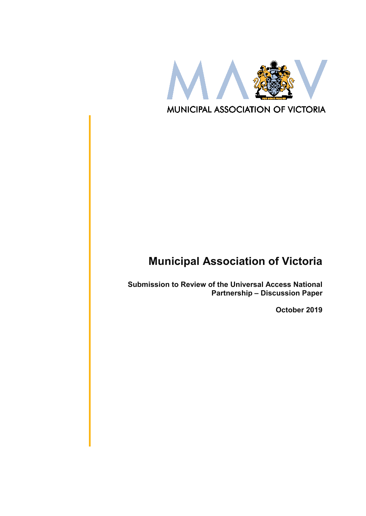

# **Municipal Association of Victoria**

**Submission to Review of the Universal Access National Partnership – Discussion Paper**

**October 2019**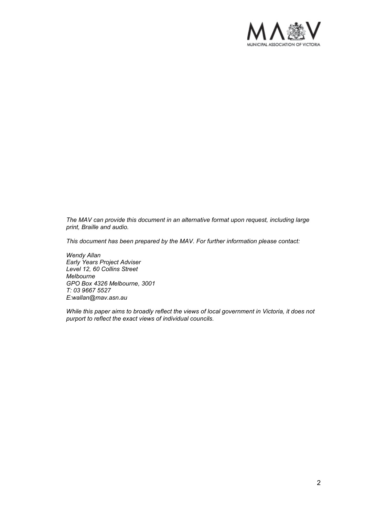

*The MAV can provide this document in an alternative format upon request, including large print, Braille and audio.* 

*This document has been prepared by the MAV. For further information please contact:*

*Wendy Allan Early Years Project Adviser Level 12, 60 Collins Street Melbourne GPO Box 4326 Melbourne, 3001 T: 03 9667 5527 E:wallan@mav.asn.au*

*While this paper aims to broadly reflect the views of local government in Victoria, it does not purport to reflect the exact views of individual councils.*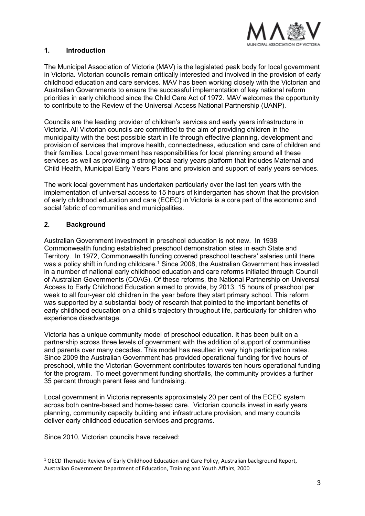

## **1. Introduction**

The Municipal Association of Victoria (MAV) is the legislated peak body for local government in Victoria. Victorian councils remain critically interested and involved in the provision of early childhood education and care services. MAV has been working closely with the Victorian and Australian Governments to ensure the successful implementation of key national reform priorities in early childhood since the Child Care Act of 1972. MAV welcomes the opportunity to contribute to the Review of the Universal Access National Partnership (UANP).

Councils are the leading provider of children's services and early years infrastructure in Victoria. All Victorian councils are committed to the aim of providing children in the municipality with the best possible start in life through effective planning, development and provision of services that improve health, connectedness, education and care of children and their families. Local government has responsibilities for local planning around all these services as well as providing a strong local early years platform that includes Maternal and Child Health, Municipal Early Years Plans and provision and support of early years services.

The work local government has undertaken particularly over the last ten years with the implementation of universal access to 15 hours of kindergarten has shown that the provision of early childhood education and care (ECEC) in Victoria is a core part of the economic and social fabric of communities and municipalities.

# **2. Background**

Australian Government investment in preschool education is not new. In 1938 Commonwealth funding established preschool demonstration sites in each State and Territory. In 1972, Commonwealth funding covered preschool teachers' salaries until there was a policy shift in funding childcare.<sup>[1](#page-2-0)</sup> Since 2008, the Australian Government has invested in a number of national early childhood education and care reforms initiated through Council of Australian Governments (COAG). Of these reforms, the National Partnership on Universal Access to Early Childhood Education aimed to provide, by 2013, 15 hours of preschool per week to all four-year old children in the year before they start primary school. This reform was supported by a substantial body of research that pointed to the important benefits of early childhood education on a child's trajectory throughout life, particularly for children who experience disadvantage.

Victoria has a unique community model of preschool education. It has been built on a partnership across three levels of government with the addition of support of communities and parents over many decades. This model has resulted in very high participation rates. Since 2009 the Australian Government has provided operational funding for five hours of preschool, while the Victorian Government contributes towards ten hours operational funding for the program. To meet government funding shortfalls, the community provides a further 35 percent through parent fees and fundraising.

Local government in Victoria represents approximately 20 per cent of the ECEC system across both centre-based and home-based care. Victorian councils invest in early years planning, community capacity building and infrastructure provision, and many councils deliver early childhood education services and programs.

Since 2010, Victorian councils have received:

<span id="page-2-0"></span><sup>-</sup><sup>1</sup> OECD Thematic Review of Early Childhood Education and Care Policy, Australian background Report, Australian Government Department of Education, Training and Youth Affairs, 2000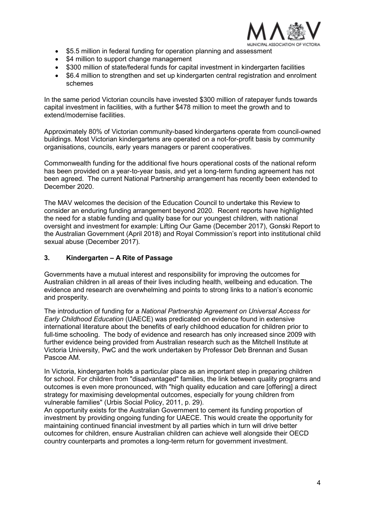

- \$5.5 million in federal funding for operation planning and assessment
- \$4 million to support change management
- \$300 million of state/federal funds for capital investment in kindergarten facilities
- \$6.4 million to strengthen and set up kindergarten central registration and enrolment schemes

In the same period Victorian councils have invested \$300 million of ratepayer funds towards capital investment in facilities, with a further \$478 million to meet the growth and to extend/modernise facilities.

Approximately 80% of Victorian community-based kindergartens operate from council-owned buildings. Most Victorian kindergartens are operated on a not-for-profit basis by community organisations, councils, early years managers or parent cooperatives.

Commonwealth funding for the additional five hours operational costs of the national reform has been provided on a year-to-year basis, and yet a long-term funding agreement has not been agreed. The current National Partnership arrangement has recently been extended to December 2020.

The MAV welcomes the decision of the Education Council to undertake this Review to consider an enduring funding arrangement beyond 2020. Recent reports have highlighted the need for a stable funding and quality base for our youngest children, with national oversight and investment for example: Lifting Our Game (December 2017), Gonski Report to the Australian Government (April 2018) and Royal Commission's report into institutional child sexual abuse (December 2017).

## **3. Kindergarten – A Rite of Passage**

Governments have a mutual interest and responsibility for improving the outcomes for Australian children in all areas of their lives including health, wellbeing and education. The evidence and research are overwhelming and points to strong links to a nation's economic and prosperity.

The introduction of funding for a *National Partnership Agreement on Universal Access for Early Childhood Education* (UAECE) was predicated on evidence found in extensive international literature about the benefits of early childhood education for children prior to full-time schooling. The body of evidence and research has only increased since 2009 with further evidence being provided from Australian research such as the Mitchell Institute at Victoria University, PwC and the work undertaken by Professor Deb Brennan and Susan Pascoe AM.

In Victoria, kindergarten holds a particular place as an important step in preparing children for school. For children from "disadvantaged" families, the link between quality programs and outcomes is even more pronounced, with "high quality education and care [offering] a direct strategy for maximising developmental outcomes, especially for young children from vulnerable families" (Urbis Social Policy, 2011, p. 29).

An opportunity exists for the Australian Government to cement its funding proportion of investment by providing ongoing funding for UAECE. This would create the opportunity for maintaining continued financial investment by all parties which in turn will drive better outcomes for children, ensure Australian children can achieve well alongside their OECD country counterparts and promotes a long-term return for government investment.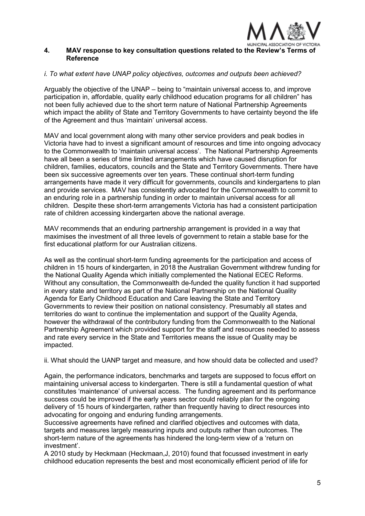

## **4. MAV response to key consultation questions related to the Review's Terms of Reference**

## *i. To what extent have UNAP policy objectives, outcomes and outputs been achieved?*

Arguably the objective of the UNAP – being to "maintain universal access to, and improve participation in, affordable, quality early childhood education programs for all children" has not been fully achieved due to the short term nature of National Partnership Agreements which impact the ability of State and Territory Governments to have certainty beyond the life of the Agreement and thus 'maintain' universal access.

MAV and local government along with many other service providers and peak bodies in Victoria have had to invest a significant amount of resources and time into ongoing advocacy to the Commonwealth to 'maintain universal access'. The National Partnership Agreements have all been a series of time limited arrangements which have caused disruption for children, families, educators, councils and the State and Territory Governments. There have been six successive agreements over ten years. These continual short-term funding arrangements have made it very difficult for governments, councils and kindergartens to plan and provide services. MAV has consistently advocated for the Commonwealth to commit to an enduring role in a partnership funding in order to maintain universal access for all children. Despite these short-term arrangements Victoria has had a consistent participation rate of children accessing kindergarten above the national average.

MAV recommends that an enduring partnership arrangement is provided in a way that maximises the investment of all three levels of government to retain a stable base for the first educational platform for our Australian citizens.

As well as the continual short-term funding agreements for the participation and access of children in 15 hours of kindergarten, in 2018 the Australian Government withdrew funding for the National Quality Agenda which initially complemented the National ECEC Reforms. Without any consultation, the Commonwealth de-funded the quality function it had supported in every state and territory as part of the National Partnership on the National Quality Agenda for Early Childhood Education and Care leaving the State and Territory Governments to review their position on national consistency. Presumably all states and territories do want to continue the implementation and support of the Quality Agenda, however the withdrawal of the contributory funding from the Commonwealth to the National Partnership Agreement which provided support for the staff and resources needed to assess and rate every service in the State and Territories means the issue of Quality may be impacted.

ii. What should the UANP target and measure, and how should data be collected and used?

Again, the performance indicators, benchmarks and targets are supposed to focus effort on maintaining universal access to kindergarten. There is still a fundamental question of what constitutes 'maintenance' of universal access. The funding agreement and its performance success could be improved if the early years sector could reliably plan for the ongoing delivery of 15 hours of kindergarten, rather than frequently having to direct resources into advocating for ongoing and enduring funding arrangements.

Successive agreements have refined and clarified objectives and outcomes with data, targets and measures largely measuring inputs and outputs rather than outcomes. The short-term nature of the agreements has hindered the long-term view of a 'return on investment'.

A 2010 study by Heckmaan (Heckmaan,J, 2010) found that focussed investment in early childhood education represents the best and most economically efficient period of life for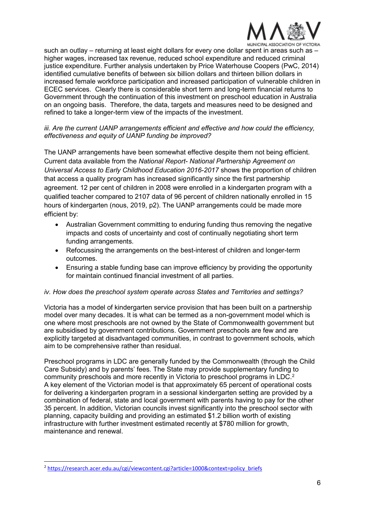

MUNICIPAL ASSOCIATION OF VICTORIA

such an outlay – returning at least eight dollars for every one dollar spent in areas such as – higher wages, increased tax revenue, reduced school expenditure and reduced criminal justice expenditure. Further analysis undertaken by Price Waterhouse Coopers (PwC, 2014) identified cumulative benefits of between six billion dollars and thirteen billion dollars in increased female workforce participation and increased participation of vulnerable children in ECEC services. Clearly there is considerable short term and long-term financial returns to Government through the continuation of this investment on preschool education in Australia on an ongoing basis. Therefore, the data, targets and measures need to be designed and refined to take a longer-term view of the impacts of the investment.

### *iii. Are the current UANP arrangements efficient and effective and how could the efficiency, effectiveness and equity of UANP funding be improved?*

The UANP arrangements have been somewhat effective despite them not being efficient. Current data available from the *National Report- National Partnership Agreement on Universal Access to Early Childhood Education 2016-2017* shows the proportion of children that access a quality program has increased significantly since the first partnership agreement. 12 per cent of children in 2008 were enrolled in a kindergarten program with a qualified teacher compared to 2107 data of 96 percent of children nationally enrolled in 15 hours of kindergarten (nous, 2019, p2). The UANP arrangements could be made more efficient by:

- Australian Government committing to enduring funding thus removing the negative impacts and costs of uncertainty and cost of continually negotiating short term funding arrangements.
- Refocussing the arrangements on the best-interest of children and longer-term outcomes.
- Ensuring a stable funding base can improve efficiency by providing the opportunity for maintain continued financial investment of all parties.

#### *iv. How does the preschool system operate across States and Territories and settings?*

Victoria has a model of kindergarten service provision that has been built on a partnership model over many decades. It is what can be termed as a non-government model which is one where most preschools are not owned by the State of Commonwealth government but are subsidised by government contributions. Government preschools are few and are explicitly targeted at disadvantaged communities, in contrast to government schools, which aim to be comprehensive rather than residual.

Preschool programs in LDC are generally funded by the Commonwealth (through the Child Care Subsidy) and by parents' fees. The State may provide supplementary funding to community preschools and more recently in Victoria to preschool programs in LDC.[2](#page-5-0) A key element of the Victorian model is that approximately 65 percent of operational costs for delivering a kindergarten program in a sessional kindergarten setting are provided by a combination of federal, state and local government with parents having to pay for the other 35 percent. In addition, Victorian councils invest significantly into the preschool sector with planning, capacity building and providing an estimated \$1.2 billion worth of existing infrastructure with further investment estimated recently at \$780 million for growth, maintenance and renewal.

<span id="page-5-0"></span><sup>-</sup><sup>2</sup> [https://research.acer.edu.au/cgi/viewcontent.cgi?article=1000&context=policy\\_briefs](https://research.acer.edu.au/cgi/viewcontent.cgi?article=1000&context=policy_briefs)